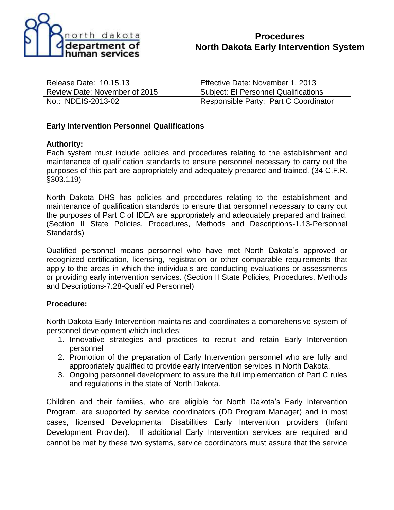

### **Procedures North Dakota Early Intervention System**

| Release Date: 10.15.13        | Effective Date: November 1, 2013      |
|-------------------------------|---------------------------------------|
| Review Date: November of 2015 | Subject: El Personnel Qualifications  |
| No.: NDEIS-2013-02            | Responsible Party: Part C Coordinator |

#### **Early Intervention Personnel Qualifications**

#### **Authority:**

Each system must include policies and procedures relating to the establishment and maintenance of qualification standards to ensure personnel necessary to carry out the purposes of this part are appropriately and adequately prepared and trained. (34 C.F.R. §303.119)

North Dakota DHS has policies and procedures relating to the establishment and maintenance of qualification standards to ensure that personnel necessary to carry out the purposes of Part C of IDEA are appropriately and adequately prepared and trained. (Section II State Policies, Procedures, Methods and Descriptions-1.13-Personnel Standards)

Qualified personnel means personnel who have met North Dakota's approved or recognized certification, licensing, registration or other comparable requirements that apply to the areas in which the individuals are conducting evaluations or assessments or providing early intervention services. (Section II State Policies, Procedures, Methods and Descriptions-7.28-Qualified Personnel)

#### **Procedure:**

North Dakota Early Intervention maintains and coordinates a comprehensive system of personnel development which includes:

- 1. Innovative strategies and practices to recruit and retain Early Intervention personnel
- 2. Promotion of the preparation of Early Intervention personnel who are fully and appropriately qualified to provide early intervention services in North Dakota.
- 3. Ongoing personnel development to assure the full implementation of Part C rules and regulations in the state of North Dakota.

Children and their families, who are eligible for North Dakota's Early Intervention Program, are supported by service coordinators (DD Program Manager) and in most cases, licensed Developmental Disabilities Early Intervention providers (Infant Development Provider). If additional Early Intervention services are required and cannot be met by these two systems, service coordinators must assure that the service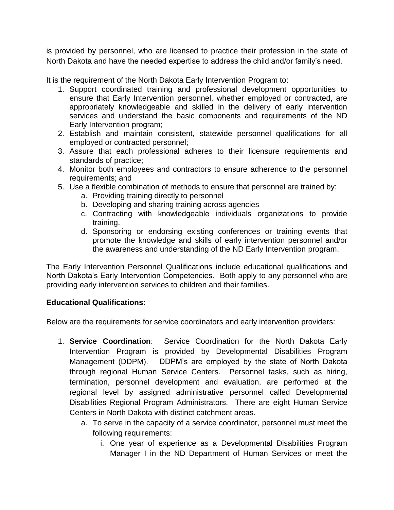is provided by personnel, who are licensed to practice their profession in the state of North Dakota and have the needed expertise to address the child and/or family's need.

It is the requirement of the North Dakota Early Intervention Program to:

- 1. Support coordinated training and professional development opportunities to ensure that Early Intervention personnel, whether employed or contracted, are appropriately knowledgeable and skilled in the delivery of early intervention services and understand the basic components and requirements of the ND Early Intervention program;
- 2. Establish and maintain consistent, statewide personnel qualifications for all employed or contracted personnel;
- 3. Assure that each professional adheres to their licensure requirements and standards of practice;
- 4. Monitor both employees and contractors to ensure adherence to the personnel requirements; and
- 5. Use a flexible combination of methods to ensure that personnel are trained by:
	- a. Providing training directly to personnel
	- b. Developing and sharing training across agencies
	- c. Contracting with knowledgeable individuals organizations to provide training.
	- d. Sponsoring or endorsing existing conferences or training events that promote the knowledge and skills of early intervention personnel and/or the awareness and understanding of the ND Early Intervention program.

The Early Intervention Personnel Qualifications include educational qualifications and North Dakota's Early Intervention Competencies. Both apply to any personnel who are providing early intervention services to children and their families.

#### **Educational Qualifications:**

Below are the requirements for service coordinators and early intervention providers:

- 1. **Service Coordination**: Service Coordination for the North Dakota Early Intervention Program is provided by Developmental Disabilities Program Management (DDPM). DDPM's are employed by the state of North Dakota through regional Human Service Centers. Personnel tasks, such as hiring, termination, personnel development and evaluation, are performed at the regional level by assigned administrative personnel called Developmental Disabilities Regional Program Administrators. There are eight Human Service Centers in North Dakota with distinct catchment areas.
	- a. To serve in the capacity of a service coordinator, personnel must meet the following requirements:
		- i. One year of experience as a Developmental Disabilities Program Manager I in the ND Department of Human Services or meet the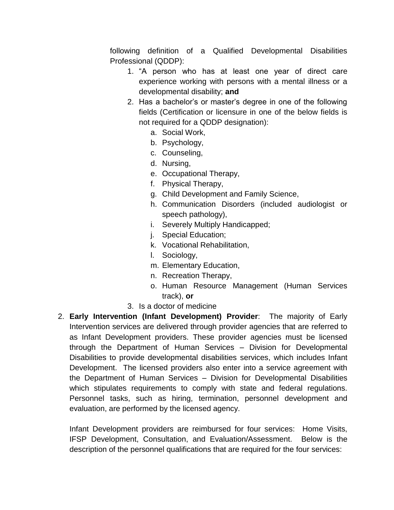following definition of a Qualified Developmental Disabilities Professional (QDDP):

- 1. "A person who has at least one year of direct care experience working with persons with a mental illness or a developmental disability; **and**
- 2. Has a bachelor's or master's degree in one of the following fields (Certification or licensure in one of the below fields is not required for a QDDP designation):
	- a. Social Work,
	- b. Psychology,
	- c. Counseling,
	- d. Nursing,
	- e. Occupational Therapy,
	- f. Physical Therapy,
	- g. Child Development and Family Science,
	- h. Communication Disorders (included audiologist or speech pathology),
	- i. Severely Multiply Handicapped;
	- j. Special Education;
	- k. Vocational Rehabilitation,
	- l. Sociology,
	- m. Elementary Education,
	- n. Recreation Therapy,
	- o. Human Resource Management (Human Services track), **or**
- 3. Is a doctor of medicine
- 2. **Early Intervention (Infant Development) Provider**: The majority of Early Intervention services are delivered through provider agencies that are referred to as Infant Development providers. These provider agencies must be licensed through the Department of Human Services – Division for Developmental Disabilities to provide developmental disabilities services, which includes Infant Development. The licensed providers also enter into a service agreement with the Department of Human Services – Division for Developmental Disabilities which stipulates requirements to comply with state and federal regulations. Personnel tasks, such as hiring, termination, personnel development and evaluation, are performed by the licensed agency.

Infant Development providers are reimbursed for four services: Home Visits, IFSP Development, Consultation, and Evaluation/Assessment. Below is the description of the personnel qualifications that are required for the four services: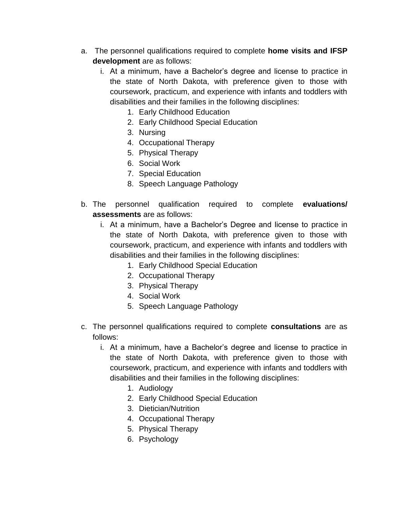- a. The personnel qualifications required to complete **home visits and IFSP development** are as follows:
	- i. At a minimum, have a Bachelor's degree and license to practice in the state of North Dakota, with preference given to those with coursework, practicum, and experience with infants and toddlers with disabilities and their families in the following disciplines:
		- 1. Early Childhood Education
		- 2. Early Childhood Special Education
		- 3. Nursing
		- 4. Occupational Therapy
		- 5. Physical Therapy
		- 6. Social Work
		- 7. Special Education
		- 8. Speech Language Pathology
- b. The personnel qualification required to complete **evaluations/ assessments** are as follows:
	- i. At a minimum, have a Bachelor's Degree and license to practice in the state of North Dakota, with preference given to those with coursework, practicum, and experience with infants and toddlers with disabilities and their families in the following disciplines:
		- 1. Early Childhood Special Education
		- 2. Occupational Therapy
		- 3. Physical Therapy
		- 4. Social Work
		- 5. Speech Language Pathology
- c. The personnel qualifications required to complete **consultations** are as follows:
	- i. At a minimum, have a Bachelor's degree and license to practice in the state of North Dakota, with preference given to those with coursework, practicum, and experience with infants and toddlers with disabilities and their families in the following disciplines:
		- 1. Audiology
		- 2. Early Childhood Special Education
		- 3. Dietician/Nutrition
		- 4. Occupational Therapy
		- 5. Physical Therapy
		- 6. Psychology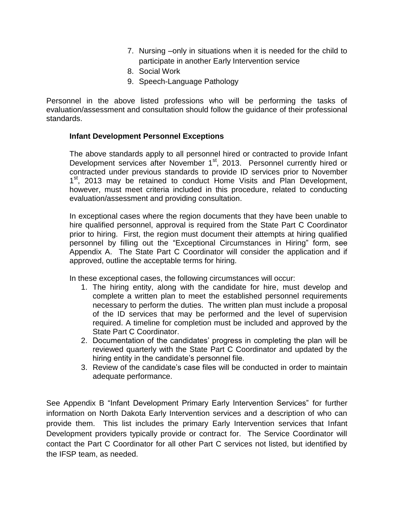- 7. Nursing –only in situations when it is needed for the child to participate in another Early Intervention service
- 8. Social Work
- 9. Speech-Language Pathology

Personnel in the above listed professions who will be performing the tasks of evaluation/assessment and consultation should follow the guidance of their professional standards.

#### **Infant Development Personnel Exceptions**

The above standards apply to all personnel hired or contracted to provide Infant Development services after November 1<sup>st</sup>, 2013. Personnel currently hired or contracted under previous standards to provide ID services prior to November 1<sup>st</sup>, 2013 may be retained to conduct Home Visits and Plan Development, however, must meet criteria included in this procedure, related to conducting evaluation/assessment and providing consultation.

In exceptional cases where the region documents that they have been unable to hire qualified personnel, approval is required from the State Part C Coordinator prior to hiring. First, the region must document their attempts at hiring qualified personnel by filling out the "Exceptional Circumstances in Hiring" form, see Appendix A. The State Part C Coordinator will consider the application and if approved, outline the acceptable terms for hiring.

In these exceptional cases, the following circumstances will occur:

- 1. The hiring entity, along with the candidate for hire, must develop and complete a written plan to meet the established personnel requirements necessary to perform the duties. The written plan must include a proposal of the ID services that may be performed and the level of supervision required. A timeline for completion must be included and approved by the State Part C Coordinator.
- 2. Documentation of the candidates' progress in completing the plan will be reviewed quarterly with the State Part C Coordinator and updated by the hiring entity in the candidate's personnel file.
- 3. Review of the candidate's case files will be conducted in order to maintain adequate performance.

See Appendix B "Infant Development Primary Early Intervention Services" for further information on North Dakota Early Intervention services and a description of who can provide them. This list includes the primary Early Intervention services that Infant Development providers typically provide or contract for. The Service Coordinator will contact the Part C Coordinator for all other Part C services not listed, but identified by the IFSP team, as needed.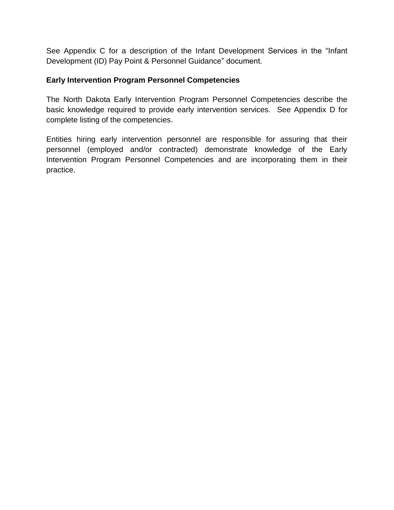See Appendix C for a description of the Infant Development Services in the "Infant Development (ID) Pay Point & Personnel Guidance" document.

#### **Early Intervention Program Personnel Competencies**

The North Dakota Early Intervention Program Personnel Competencies describe the basic knowledge required to provide early intervention services. See Appendix D for complete listing of the competencies.

Entities hiring early intervention personnel are responsible for assuring that their personnel (employed and/or contracted) demonstrate knowledge of the Early Intervention Program Personnel Competencies and are incorporating them in their practice.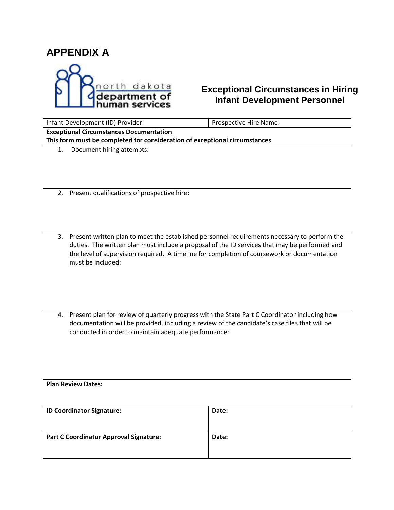## **APPENDIX A**



### **Exceptional Circumstances in Hiring Infant Development Personnel**

| Infant Development (ID) Provider:                                                                   | Prospective Hire Name: |  |  |
|-----------------------------------------------------------------------------------------------------|------------------------|--|--|
| <b>Exceptional Circumstances Documentation</b>                                                      |                        |  |  |
| This form must be completed for consideration of exceptional circumstances                          |                        |  |  |
| Document hiring attempts:<br>1.                                                                     |                        |  |  |
|                                                                                                     |                        |  |  |
|                                                                                                     |                        |  |  |
|                                                                                                     |                        |  |  |
|                                                                                                     |                        |  |  |
| 2. Present qualifications of prospective hire:                                                      |                        |  |  |
|                                                                                                     |                        |  |  |
|                                                                                                     |                        |  |  |
|                                                                                                     |                        |  |  |
|                                                                                                     |                        |  |  |
| Present written plan to meet the established personnel requirements necessary to perform the<br>3.  |                        |  |  |
| duties. The written plan must include a proposal of the ID services that may be performed and       |                        |  |  |
| the level of supervision required. A timeline for completion of coursework or documentation         |                        |  |  |
| must be included:                                                                                   |                        |  |  |
|                                                                                                     |                        |  |  |
|                                                                                                     |                        |  |  |
|                                                                                                     |                        |  |  |
|                                                                                                     |                        |  |  |
|                                                                                                     |                        |  |  |
| Present plan for review of quarterly progress with the State Part C Coordinator including how<br>4. |                        |  |  |
| documentation will be provided, including a review of the candidate's case files that will be       |                        |  |  |
| conducted in order to maintain adequate performance:                                                |                        |  |  |
|                                                                                                     |                        |  |  |
|                                                                                                     |                        |  |  |
|                                                                                                     |                        |  |  |
|                                                                                                     |                        |  |  |
|                                                                                                     |                        |  |  |
| <b>Plan Review Dates:</b>                                                                           |                        |  |  |
|                                                                                                     |                        |  |  |
|                                                                                                     |                        |  |  |
| <b>ID Coordinator Signature:</b>                                                                    | Date:                  |  |  |
|                                                                                                     |                        |  |  |
|                                                                                                     |                        |  |  |
| <b>Part C Coordinator Approval Signature:</b><br>Date:                                              |                        |  |  |
|                                                                                                     |                        |  |  |
|                                                                                                     |                        |  |  |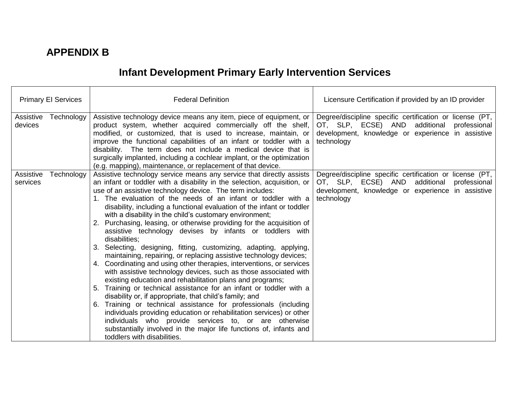## **APPENDIX B**

# **Infant Development Primary Early Intervention Services**

| <b>Primary El Services</b>          | <b>Federal Definition</b>                                                                                                                                                                                                                                                                                                                                                                                                                                                                                                                                                                                                                                                                                                                                                                                                                                                                                                                                                                                                                                                                                                                                                                                                                                                                                                                                                      | Licensure Certification if provided by an ID provider                                                                                                                        |
|-------------------------------------|--------------------------------------------------------------------------------------------------------------------------------------------------------------------------------------------------------------------------------------------------------------------------------------------------------------------------------------------------------------------------------------------------------------------------------------------------------------------------------------------------------------------------------------------------------------------------------------------------------------------------------------------------------------------------------------------------------------------------------------------------------------------------------------------------------------------------------------------------------------------------------------------------------------------------------------------------------------------------------------------------------------------------------------------------------------------------------------------------------------------------------------------------------------------------------------------------------------------------------------------------------------------------------------------------------------------------------------------------------------------------------|------------------------------------------------------------------------------------------------------------------------------------------------------------------------------|
| Technology<br>Assistive<br>devices  | Assistive technology device means any item, piece of equipment, or<br>product system, whether acquired commercially off the shelf,<br>modified, or customized, that is used to increase, maintain, or<br>improve the functional capabilities of an infant or toddler with a<br>disability. The term does not include a medical device that is<br>surgically implanted, including a cochlear implant, or the optimization<br>(e.g. mapping), maintenance, or replacement of that device.                                                                                                                                                                                                                                                                                                                                                                                                                                                                                                                                                                                                                                                                                                                                                                                                                                                                                        | Degree/discipline specific certification or license (PT,<br>OT, SLP, ECSE) AND additional professional<br>development, knowledge or experience in assistive<br>technology    |
| Technology<br>Assistive<br>services | Assistive technology service means any service that directly assists<br>an infant or toddler with a disability in the selection, acquisition, or<br>use of an assistive technology device. The term includes:<br>1. The evaluation of the needs of an infant or toddler with a<br>disability, including a functional evaluation of the infant or toddler<br>with a disability in the child's customary environment;<br>2. Purchasing, leasing, or otherwise providing for the acquisition of<br>assistive technology devises by infants or toddlers with<br>disabilities;<br>3. Selecting, designing, fitting, customizing, adapting, applying,<br>maintaining, repairing, or replacing assistive technology devices;<br>4. Coordinating and using other therapies, interventions, or services<br>with assistive technology devices, such as those associated with<br>existing education and rehabilitation plans and programs;<br>Training or technical assistance for an infant or toddler with a<br>5.<br>disability or, if appropriate, that child's family; and<br>6. Training or technical assistance for professionals (including<br>individuals providing education or rehabilitation services) or other<br>individuals who provide services to, or are otherwise<br>substantially involved in the major life functions of, infants and<br>toddlers with disabilities. | Degree/discipline specific certification or license (PT,<br>OT, SLP, ECSE) AND additional<br>professional<br>development, knowledge or experience in assistive<br>technology |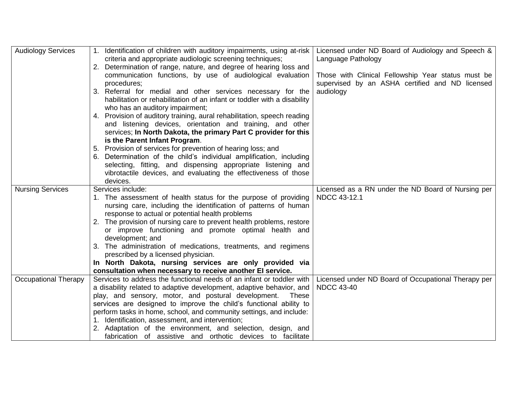| <b>Audiology Services</b>   | 1. Identification of children with auditory impairments, using at-risk<br>criteria and appropriate audiologic screening techniques;<br>2. Determination of range, nature, and degree of hearing loss and<br>communication functions, by use of audiological evaluation<br>procedures;                                                                                                                                                                                                                                                                                                          | Licensed under ND Board of Audiology and Speech &<br>Language Pathology<br>Those with Clinical Fellowship Year status must be<br>supervised by an ASHA certified and ND licensed |
|-----------------------------|------------------------------------------------------------------------------------------------------------------------------------------------------------------------------------------------------------------------------------------------------------------------------------------------------------------------------------------------------------------------------------------------------------------------------------------------------------------------------------------------------------------------------------------------------------------------------------------------|----------------------------------------------------------------------------------------------------------------------------------------------------------------------------------|
|                             | 3. Referral for medial and other services necessary for the<br>habilitation or rehabilitation of an infant or toddler with a disability<br>who has an auditory impairment;                                                                                                                                                                                                                                                                                                                                                                                                                     | audiology                                                                                                                                                                        |
|                             | 4. Provision of auditory training, aural rehabilitation, speech reading<br>and listening devices, orientation and training, and other<br>services; In North Dakota, the primary Part C provider for this<br>is the Parent Infant Program.                                                                                                                                                                                                                                                                                                                                                      |                                                                                                                                                                                  |
|                             | Provision of services for prevention of hearing loss; and<br>Determination of the child's individual amplification, including<br>selecting, fitting, and dispensing appropriate listening and<br>vibrotactile devices, and evaluating the effectiveness of those<br>devices.                                                                                                                                                                                                                                                                                                                   |                                                                                                                                                                                  |
| <b>Nursing Services</b>     | Services include:<br>1. The assessment of health status for the purpose of providing<br>nursing care, including the identification of patterns of human<br>response to actual or potential health problems<br>2. The provision of nursing care to prevent health problems, restore<br>or improve functioning and promote optimal health and<br>development; and<br>The administration of medications, treatments, and regimens<br>prescribed by a licensed physician.<br>In North Dakota, nursing services are only provided via<br>consultation when necessary to receive another EI service. | Licensed as a RN under the ND Board of Nursing per<br><b>NDCC 43-12.1</b>                                                                                                        |
| <b>Occupational Therapy</b> | Services to address the functional needs of an infant or toddler with<br>a disability related to adaptive development, adaptive behavior, and<br>play, and sensory, motor, and postural development.<br>These<br>services are designed to improve the child's functional ability to<br>perform tasks in home, school, and community settings, and include:<br>1. Identification, assessment, and intervention;<br>2. Adaptation of the environment, and selection, design, and<br>fabrication of assistive and orthotic devices to facilitate                                                  | Licensed under ND Board of Occupational Therapy per<br><b>NDCC 43-40</b>                                                                                                         |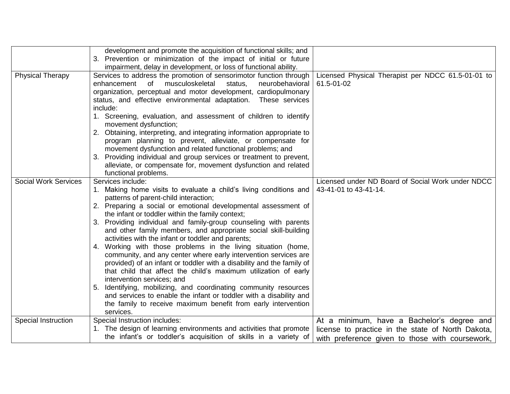|                             | development and promote the acquisition of functional skills; and<br>Prevention or minimization of the impact of initial or future<br>3.<br>impairment, delay in development, or loss of functional ability.                                                                                                                                                                                                                                                                                                                                                                                                                                                                                                                                                                                                                                                                                                                                                                                   |                                                                                                                                                    |
|-----------------------------|------------------------------------------------------------------------------------------------------------------------------------------------------------------------------------------------------------------------------------------------------------------------------------------------------------------------------------------------------------------------------------------------------------------------------------------------------------------------------------------------------------------------------------------------------------------------------------------------------------------------------------------------------------------------------------------------------------------------------------------------------------------------------------------------------------------------------------------------------------------------------------------------------------------------------------------------------------------------------------------------|----------------------------------------------------------------------------------------------------------------------------------------------------|
| <b>Physical Therapy</b>     | Services to address the promotion of sensorimotor function through<br>enhancement<br>of<br>neurobehavioral<br>musculoskeletal<br>status,<br>organization, perceptual and motor development, cardiopulmonary<br>status, and effective environmental adaptation. These services<br>include:<br>1. Screening, evaluation, and assessment of children to identify<br>movement dysfunction;<br>2. Obtaining, interpreting, and integrating information appropriate to<br>program planning to prevent, alleviate, or compensate for<br>movement dysfunction and related functional problems; and<br>3. Providing individual and group services or treatment to prevent,<br>alleviate, or compensate for, movement dysfunction and related<br>functional problems.                                                                                                                                                                                                                                    | Licensed Physical Therapist per NDCC 61.5-01-01 to<br>61.5-01-02                                                                                   |
| <b>Social Work Services</b> | Services include:<br>1. Making home visits to evaluate a child's living conditions and<br>patterns of parent-child interaction;<br>2. Preparing a social or emotional developmental assessment of<br>the infant or toddler within the family context;<br>Providing individual and family-group counseling with parents<br>3.<br>and other family members, and appropriate social skill-building<br>activities with the infant or toddler and parents;<br>Working with those problems in the living situation (home,<br>4.<br>community, and any center where early intervention services are<br>provided) of an infant or toddler with a disability and the family of<br>that child that affect the child's maximum utilization of early<br>intervention services; and<br>5. Identifying, mobilizing, and coordinating community resources<br>and services to enable the infant or toddler with a disability and<br>the family to receive maximum benefit from early intervention<br>services. | Licensed under ND Board of Social Work under NDCC<br>43-41-01 to 43-41-14.                                                                         |
| Special Instruction         | Special Instruction includes:<br>1. The design of learning environments and activities that promote<br>the infant's or toddler's acquisition of skills in a variety of                                                                                                                                                                                                                                                                                                                                                                                                                                                                                                                                                                                                                                                                                                                                                                                                                         | At a minimum, have a Bachelor's degree and<br>license to practice in the state of North Dakota,<br>with preference given to those with coursework, |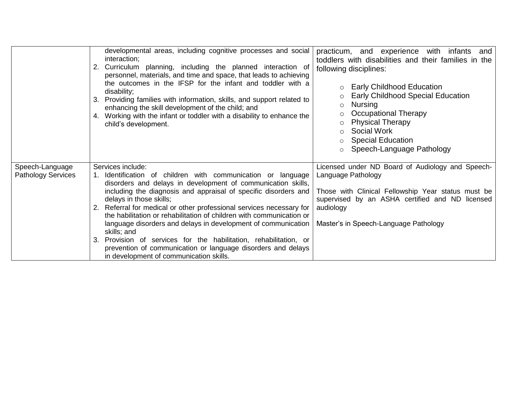|                                              | developmental areas, including cognitive processes and social<br>interaction;<br>Curriculum planning, including the planned interaction of<br>personnel, materials, and time and space, that leads to achieving<br>the outcomes in the IFSP for the infant and toddler with a<br>disability;<br>Providing families with information, skills, and support related to<br>3.<br>enhancing the skill development of the child; and<br>Working with the infant or toddler with a disability to enhance the<br>4.<br>child's development.                                                                                                                             | practicum, and experience<br>with<br>infants<br>and<br>toddlers with disabilities and their families in the<br>following disciplines:<br><b>Early Childhood Education</b><br><b>Early Childhood Special Education</b><br><b>Nursing</b><br>$\circ$<br>Occupational Therapy<br><b>Physical Therapy</b><br>Social Work<br><b>Special Education</b><br>$\circ$<br>Speech-Language Pathology<br>$\circ$ |
|----------------------------------------------|-----------------------------------------------------------------------------------------------------------------------------------------------------------------------------------------------------------------------------------------------------------------------------------------------------------------------------------------------------------------------------------------------------------------------------------------------------------------------------------------------------------------------------------------------------------------------------------------------------------------------------------------------------------------|-----------------------------------------------------------------------------------------------------------------------------------------------------------------------------------------------------------------------------------------------------------------------------------------------------------------------------------------------------------------------------------------------------|
| Speech-Language<br><b>Pathology Services</b> | Services include:<br>Identification of children with communication or language<br>disorders and delays in development of communication skills,<br>including the diagnosis and appraisal of specific disorders and<br>delays in those skills;<br>2. Referral for medical or other professional services necessary for<br>the habilitation or rehabilitation of children with communication or<br>language disorders and delays in development of communication<br>skills; and<br>Provision of services for the habilitation, rehabilitation, or<br>3.<br>prevention of communication or language disorders and delays<br>in development of communication skills. | Licensed under ND Board of Audiology and Speech-<br>Language Pathology<br>Those with Clinical Fellowship Year status must be<br>supervised by an ASHA certified and ND licensed<br>audiology<br>Master's in Speech-Language Pathology                                                                                                                                                               |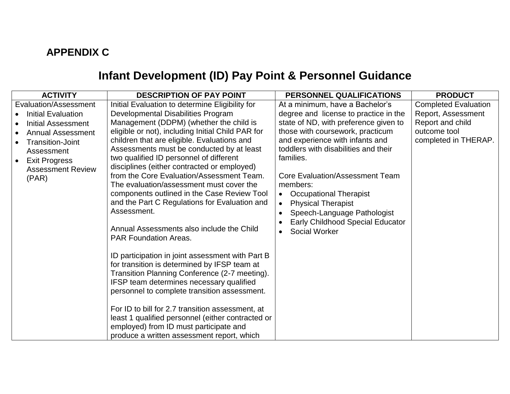## **APPENDIX C**

# **Infant Development (ID) Pay Point & Personnel Guidance**

| <b>ACTIVITY</b>                                                                                                                                                                                                         | <b>DESCRIPTION OF PAY POINT</b>                                                                                                                                                                                                                                                                                                                                                                                                                                                                                                                                                                                                                                                                                                                                                                                                                                                                                                                                                                                                                                                                                    | PERSONNEL QUALIFICATIONS                                                                                                                                                                                                                                                                                                                                                                                                                                                        | <b>PRODUCT</b>                                                                                                |
|-------------------------------------------------------------------------------------------------------------------------------------------------------------------------------------------------------------------------|--------------------------------------------------------------------------------------------------------------------------------------------------------------------------------------------------------------------------------------------------------------------------------------------------------------------------------------------------------------------------------------------------------------------------------------------------------------------------------------------------------------------------------------------------------------------------------------------------------------------------------------------------------------------------------------------------------------------------------------------------------------------------------------------------------------------------------------------------------------------------------------------------------------------------------------------------------------------------------------------------------------------------------------------------------------------------------------------------------------------|---------------------------------------------------------------------------------------------------------------------------------------------------------------------------------------------------------------------------------------------------------------------------------------------------------------------------------------------------------------------------------------------------------------------------------------------------------------------------------|---------------------------------------------------------------------------------------------------------------|
| Evaluation/Assessment<br><b>Initial Evaluation</b><br>Initial Assessment<br><b>Annual Assessment</b><br><b>Transition-Joint</b><br>Assessment<br><b>Exit Progress</b><br>$\bullet$<br><b>Assessment Review</b><br>(PAR) | Initial Evaluation to determine Eligibility for<br>Developmental Disabilities Program<br>Management (DDPM) (whether the child is<br>eligible or not), including Initial Child PAR for<br>children that are eligible. Evaluations and<br>Assessments must be conducted by at least<br>two qualified ID personnel of different<br>disciplines (either contracted or employed)<br>from the Core Evaluation/Assessment Team.<br>The evaluation/assessment must cover the<br>components outlined in the Case Review Tool<br>and the Part C Regulations for Evaluation and<br>Assessment.<br>Annual Assessments also include the Child<br><b>PAR Foundation Areas.</b><br>ID participation in joint assessment with Part B<br>for transition is determined by IFSP team at<br>Transition Planning Conference (2-7 meeting).<br>IFSP team determines necessary qualified<br>personnel to complete transition assessment.<br>For ID to bill for 2.7 transition assessment, at<br>least 1 qualified personnel (either contracted or<br>employed) from ID must participate and<br>produce a written assessment report, which | At a minimum, have a Bachelor's<br>degree and license to practice in the<br>state of ND, with preference given to<br>those with coursework, practicum<br>and experience with infants and<br>toddlers with disabilities and their<br>families.<br><b>Core Evaluation/Assessment Team</b><br>members:<br><b>Occupational Therapist</b><br>$\bullet$<br><b>Physical Therapist</b><br>$\bullet$<br>Speech-Language Pathologist<br>Early Childhood Special Educator<br>Social Worker | <b>Completed Evaluation</b><br>Report, Assessment<br>Report and child<br>outcome tool<br>completed in THERAP. |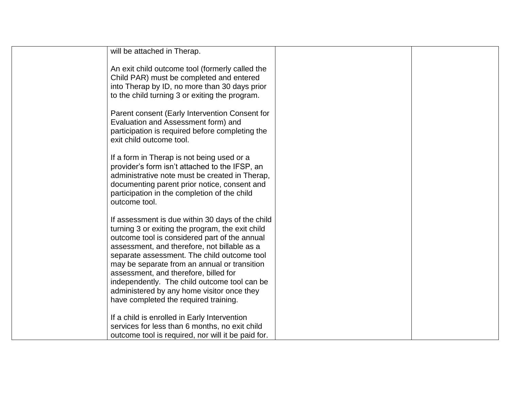| will be attached in Therap.                                                                                                                                                                                                                                                                                                                                                                                                                                                          |  |
|--------------------------------------------------------------------------------------------------------------------------------------------------------------------------------------------------------------------------------------------------------------------------------------------------------------------------------------------------------------------------------------------------------------------------------------------------------------------------------------|--|
| An exit child outcome tool (formerly called the<br>Child PAR) must be completed and entered<br>into Therap by ID, no more than 30 days prior<br>to the child turning 3 or exiting the program.                                                                                                                                                                                                                                                                                       |  |
| Parent consent (Early Intervention Consent for<br>Evaluation and Assessment form) and<br>participation is required before completing the<br>exit child outcome tool.                                                                                                                                                                                                                                                                                                                 |  |
| If a form in Therap is not being used or a<br>provider's form isn't attached to the IFSP, an<br>administrative note must be created in Therap,<br>documenting parent prior notice, consent and<br>participation in the completion of the child<br>outcome tool.                                                                                                                                                                                                                      |  |
| If assessment is due within 30 days of the child<br>turning 3 or exiting the program, the exit child<br>outcome tool is considered part of the annual<br>assessment, and therefore, not billable as a<br>separate assessment. The child outcome tool<br>may be separate from an annual or transition<br>assessment, and therefore, billed for<br>independently. The child outcome tool can be<br>administered by any home visitor once they<br>have completed the required training. |  |
| If a child is enrolled in Early Intervention<br>services for less than 6 months, no exit child<br>outcome tool is required, nor will it be paid for.                                                                                                                                                                                                                                                                                                                                 |  |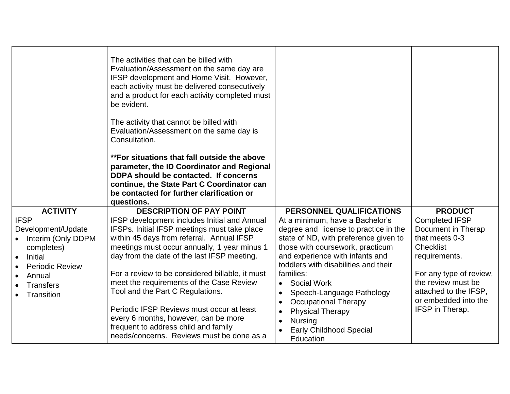|                                                                                                                                                        | The activities that can be billed with<br>Evaluation/Assessment on the same day are<br>IFSP development and Home Visit. However,<br>each activity must be delivered consecutively<br>and a product for each activity completed must<br>be evident.<br>The activity that cannot be billed with<br>Evaluation/Assessment on the same day is<br>Consultation.<br>**For situations that fall outside the above<br>parameter, the ID Coordinator and Regional<br>DDPA should be contacted. If concerns<br>continue, the State Part C Coordinator can<br>be contacted for further clarification or<br>questions. |                                                                                                                                                                                                                                                                                                                                                                                                                                   |                                                                                                                                                                                                                         |
|--------------------------------------------------------------------------------------------------------------------------------------------------------|------------------------------------------------------------------------------------------------------------------------------------------------------------------------------------------------------------------------------------------------------------------------------------------------------------------------------------------------------------------------------------------------------------------------------------------------------------------------------------------------------------------------------------------------------------------------------------------------------------|-----------------------------------------------------------------------------------------------------------------------------------------------------------------------------------------------------------------------------------------------------------------------------------------------------------------------------------------------------------------------------------------------------------------------------------|-------------------------------------------------------------------------------------------------------------------------------------------------------------------------------------------------------------------------|
| <b>ACTIVITY</b>                                                                                                                                        | <b>DESCRIPTION OF PAY POINT</b>                                                                                                                                                                                                                                                                                                                                                                                                                                                                                                                                                                            | <b>PERSONNEL QUALIFICATIONS</b>                                                                                                                                                                                                                                                                                                                                                                                                   | <b>PRODUCT</b>                                                                                                                                                                                                          |
| <b>IFSP</b><br>Development/Update<br>Interim (Only DDPM<br>completes)<br>Initial<br><b>Periodic Review</b><br>Annual<br><b>Transfers</b><br>Transition | IFSP development includes Initial and Annual<br>IFSPs. Initial IFSP meetings must take place<br>within 45 days from referral. Annual IFSP<br>meetings must occur annually, 1 year minus 1<br>day from the date of the last IFSP meeting.<br>For a review to be considered billable, it must<br>meet the requirements of the Case Review<br>Tool and the Part C Regulations.<br>Periodic IFSP Reviews must occur at least<br>every 6 months, however, can be more<br>frequent to address child and family<br>needs/concerns. Reviews must be done as a                                                      | At a minimum, have a Bachelor's<br>degree and license to practice in the<br>state of ND, with preference given to<br>those with coursework, practicum<br>and experience with infants and<br>toddlers with disabilities and their<br>families:<br>Social Work<br>$\bullet$<br>Speech-Language Pathology<br><b>Occupational Therapy</b><br><b>Physical Therapy</b><br><b>Nursing</b><br><b>Early Childhood Special</b><br>Education | <b>Completed IFSP</b><br>Document in Therap<br>that meets 0-3<br><b>Checklist</b><br>requirements.<br>For any type of review,<br>the review must be<br>attached to the IFSP,<br>or embedded into the<br>IFSP in Therap. |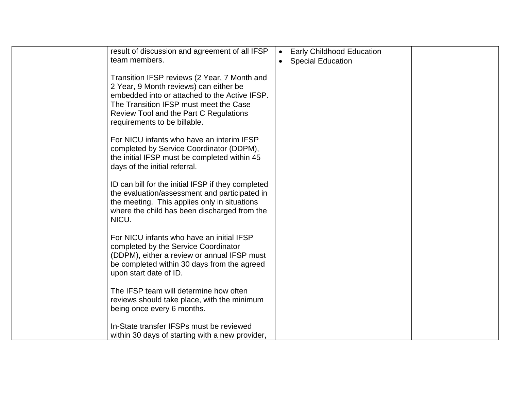| result of discussion and agreement of all IFSP<br>team members.                                                                                                                                                                                             | <b>Early Childhood Education</b><br>$\bullet$<br><b>Special Education</b><br>$\bullet$ |  |
|-------------------------------------------------------------------------------------------------------------------------------------------------------------------------------------------------------------------------------------------------------------|----------------------------------------------------------------------------------------|--|
| Transition IFSP reviews (2 Year, 7 Month and<br>2 Year, 9 Month reviews) can either be<br>embedded into or attached to the Active IFSP.<br>The Transition IFSP must meet the Case<br>Review Tool and the Part C Regulations<br>requirements to be billable. |                                                                                        |  |
| For NICU infants who have an interim IFSP<br>completed by Service Coordinator (DDPM),<br>the initial IFSP must be completed within 45<br>days of the initial referral.                                                                                      |                                                                                        |  |
| ID can bill for the initial IFSP if they completed<br>the evaluation/assessment and participated in<br>the meeting. This applies only in situations<br>where the child has been discharged from the<br>NICU.                                                |                                                                                        |  |
| For NICU infants who have an initial IFSP<br>completed by the Service Coordinator<br>(DDPM), either a review or annual IFSP must<br>be completed within 30 days from the agreed<br>upon start date of ID.                                                   |                                                                                        |  |
| The IFSP team will determine how often<br>reviews should take place, with the minimum<br>being once every 6 months.                                                                                                                                         |                                                                                        |  |
| In-State transfer IFSPs must be reviewed<br>within 30 days of starting with a new provider,                                                                                                                                                                 |                                                                                        |  |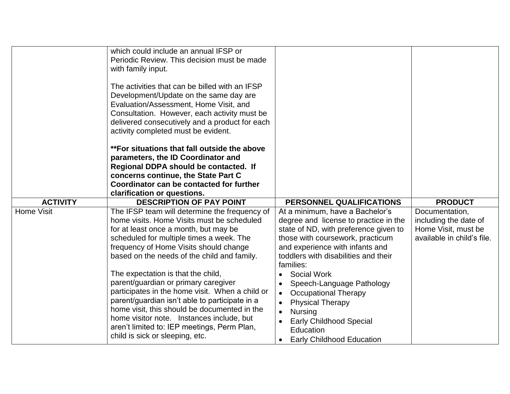|                 | which could include an annual IFSP or<br>Periodic Review. This decision must be made<br>with family input.<br>The activities that can be billed with an IFSP<br>Development/Update on the same day are<br>Evaluation/Assessment, Home Visit, and<br>Consultation. However, each activity must be<br>delivered consecutively and a product for each<br>activity completed must be evident.<br>**For situations that fall outside the above<br>parameters, the ID Coordinator and |                                                                                                                                                                                                                                               |                                                                                              |
|-----------------|---------------------------------------------------------------------------------------------------------------------------------------------------------------------------------------------------------------------------------------------------------------------------------------------------------------------------------------------------------------------------------------------------------------------------------------------------------------------------------|-----------------------------------------------------------------------------------------------------------------------------------------------------------------------------------------------------------------------------------------------|----------------------------------------------------------------------------------------------|
|                 | Regional DDPA should be contacted. If                                                                                                                                                                                                                                                                                                                                                                                                                                           |                                                                                                                                                                                                                                               |                                                                                              |
|                 | concerns continue, the State Part C<br>Coordinator can be contacted for further                                                                                                                                                                                                                                                                                                                                                                                                 |                                                                                                                                                                                                                                               |                                                                                              |
|                 | clarification or questions.                                                                                                                                                                                                                                                                                                                                                                                                                                                     |                                                                                                                                                                                                                                               |                                                                                              |
| <b>ACTIVITY</b> | <b>DESCRIPTION OF PAY POINT</b>                                                                                                                                                                                                                                                                                                                                                                                                                                                 | PERSONNEL QUALIFICATIONS                                                                                                                                                                                                                      | <b>PRODUCT</b>                                                                               |
| Home Visit      | The IFSP team will determine the frequency of<br>home visits. Home Visits must be scheduled<br>for at least once a month, but may be<br>scheduled for multiple times a week. The<br>frequency of Home Visits should change<br>based on the needs of the child and family.                                                                                                                                                                                                       | At a minimum, have a Bachelor's<br>degree and license to practice in the<br>state of ND, with preference given to<br>those with coursework, practicum<br>and experience with infants and<br>toddlers with disabilities and their<br>families: | Documentation,<br>including the date of<br>Home Visit, must be<br>available in child's file. |
|                 | The expectation is that the child,<br>parent/guardian or primary caregiver<br>participates in the home visit. When a child or<br>parent/guardian isn't able to participate in a<br>home visit, this should be documented in the<br>home visitor note. Instances include, but<br>aren't limited to: IEP meetings, Perm Plan,<br>child is sick or sleeping, etc.                                                                                                                  | <b>Social Work</b><br>Speech-Language Pathology<br><b>Occupational Therapy</b><br>$\bullet$<br><b>Physical Therapy</b><br><b>Nursing</b><br>$\bullet$<br><b>Early Childhood Special</b><br>Education<br><b>Early Childhood Education</b>      |                                                                                              |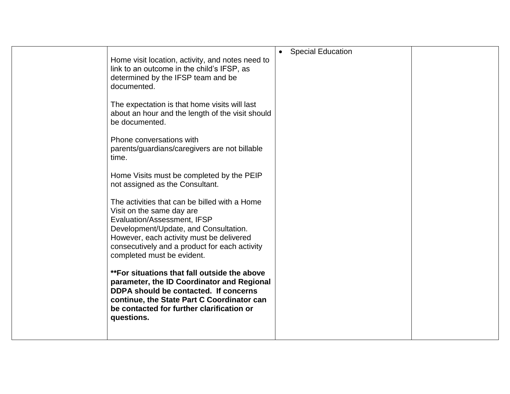|                                                                                                                                                                                                                                                                               | $\bullet$ | <b>Special Education</b> |  |
|-------------------------------------------------------------------------------------------------------------------------------------------------------------------------------------------------------------------------------------------------------------------------------|-----------|--------------------------|--|
| Home visit location, activity, and notes need to<br>link to an outcome in the child's IFSP, as<br>determined by the IFSP team and be<br>documented.                                                                                                                           |           |                          |  |
| The expectation is that home visits will last<br>about an hour and the length of the visit should<br>be documented.                                                                                                                                                           |           |                          |  |
| Phone conversations with<br>parents/guardians/caregivers are not billable<br>time.                                                                                                                                                                                            |           |                          |  |
| Home Visits must be completed by the PEIP<br>not assigned as the Consultant.                                                                                                                                                                                                  |           |                          |  |
| The activities that can be billed with a Home<br>Visit on the same day are<br>Evaluation/Assessment, IFSP<br>Development/Update, and Consultation.<br>However, each activity must be delivered<br>consecutively and a product for each activity<br>completed must be evident. |           |                          |  |
| **For situations that fall outside the above<br>parameter, the ID Coordinator and Regional<br>DDPA should be contacted. If concerns<br>continue, the State Part C Coordinator can<br>be contacted for further clarification or<br>questions.                                  |           |                          |  |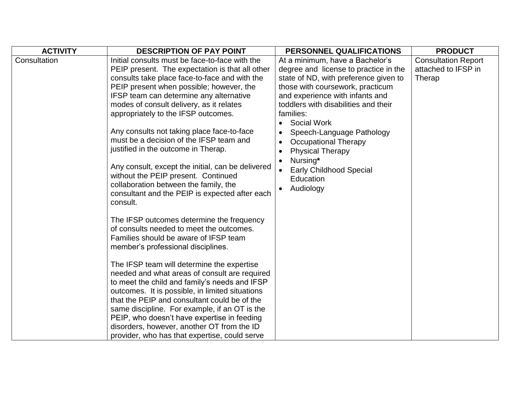| <b>ACTIVITY</b> | <b>DESCRIPTION OF PAY POINT</b>                                                                                                                                                                                                                                                                                                                                                                                                                                                                                                                          | PERSONNEL QUALIFICATIONS                                                                                                                                                                                                                                                                                                                                                                                                                        | <b>PRODUCT</b>                                              |
|-----------------|----------------------------------------------------------------------------------------------------------------------------------------------------------------------------------------------------------------------------------------------------------------------------------------------------------------------------------------------------------------------------------------------------------------------------------------------------------------------------------------------------------------------------------------------------------|-------------------------------------------------------------------------------------------------------------------------------------------------------------------------------------------------------------------------------------------------------------------------------------------------------------------------------------------------------------------------------------------------------------------------------------------------|-------------------------------------------------------------|
| Consultation    | Initial consults must be face-to-face with the<br>PEIP present. The expectation is that all other<br>consults take place face-to-face and with the<br>PEIP present when possible; however, the<br>IFSP team can determine any alternative<br>modes of consult delivery, as it relates<br>appropriately to the IFSP outcomes.<br>Any consults not taking place face-to-face<br>must be a decision of the IFSP team and<br>justified in the outcome in Therap.<br>Any consult, except the initial, can be delivered<br>without the PEIP present. Continued | At a minimum, have a Bachelor's<br>degree and license to practice in the<br>state of ND, with preference given to<br>those with coursework, practicum<br>and experience with infants and<br>toddlers with disabilities and their<br>families:<br><b>Social Work</b><br>$\bullet$<br>Speech-Language Pathology<br><b>Occupational Therapy</b><br><b>Physical Therapy</b><br>Nursing*<br><b>Early Childhood Special</b><br>Education<br>Audiology | <b>Consultation Report</b><br>attached to IFSP in<br>Therap |
|                 | collaboration between the family, the<br>consultant and the PEIP is expected after each<br>consult.<br>The IFSP outcomes determine the frequency<br>of consults needed to meet the outcomes.<br>Families should be aware of IFSP team<br>member's professional disciplines.                                                                                                                                                                                                                                                                              |                                                                                                                                                                                                                                                                                                                                                                                                                                                 |                                                             |
|                 | The IFSP team will determine the expertise<br>needed and what areas of consult are required<br>to meet the child and family's needs and IFSP<br>outcomes. It is possible, in limited situations<br>that the PEIP and consultant could be of the<br>same discipline. For example, if an OT is the<br>PEIP, who doesn't have expertise in feeding<br>disorders, however, another OT from the ID<br>provider, who has that expertise, could serve                                                                                                           |                                                                                                                                                                                                                                                                                                                                                                                                                                                 |                                                             |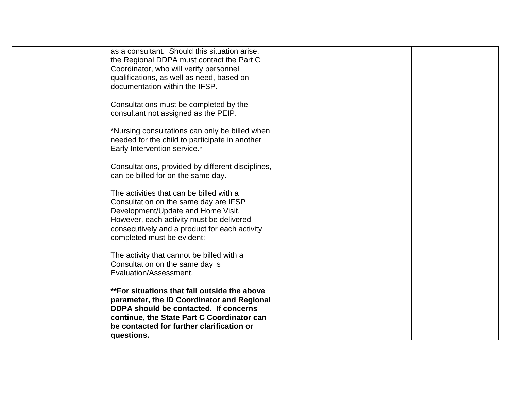| as a consultant. Should this situation arise,     |  |
|---------------------------------------------------|--|
| the Regional DDPA must contact the Part C         |  |
| Coordinator, who will verify personnel            |  |
| qualifications, as well as need, based on         |  |
|                                                   |  |
| documentation within the IFSP.                    |  |
|                                                   |  |
| Consultations must be completed by the            |  |
| consultant not assigned as the PEIP.              |  |
|                                                   |  |
| *Nursing consultations can only be billed when    |  |
| needed for the child to participate in another    |  |
| Early Intervention service.*                      |  |
|                                                   |  |
| Consultations, provided by different disciplines, |  |
| can be billed for on the same day.                |  |
|                                                   |  |
| The activities that can be billed with a          |  |
|                                                   |  |
| Consultation on the same day are IFSP             |  |
| Development/Update and Home Visit.                |  |
| However, each activity must be delivered          |  |
| consecutively and a product for each activity     |  |
| completed must be evident:                        |  |
|                                                   |  |
| The activity that cannot be billed with a         |  |
| Consultation on the same day is                   |  |
| Evaluation/Assessment.                            |  |
|                                                   |  |
| **For situations that fall outside the above      |  |
| parameter, the ID Coordinator and Regional        |  |
| DDPA should be contacted. If concerns             |  |
|                                                   |  |
| continue, the State Part C Coordinator can        |  |
| be contacted for further clarification or         |  |
| questions.                                        |  |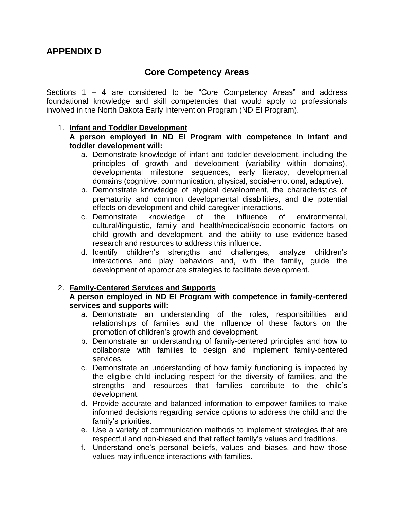### **Core Competency Areas**

Sections 1 – 4 are considered to be "Core Competency Areas" and address foundational knowledge and skill competencies that would apply to professionals involved in the North Dakota Early Intervention Program (ND EI Program).

#### 1. **Infant and Toddler Development**

#### **A person employed in ND EI Program with competence in infant and toddler development will:**

- a. Demonstrate knowledge of infant and toddler development, including the principles of growth and development (variability within domains), developmental milestone sequences, early literacy, developmental domains (cognitive, communication, physical, social-emotional, adaptive).
- b. Demonstrate knowledge of atypical development, the characteristics of prematurity and common developmental disabilities, and the potential effects on development and child-caregiver interactions.
- c. Demonstrate knowledge of the influence of environmental, cultural/linguistic, family and health/medical/socio-economic factors on child growth and development, and the ability to use evidence-based research and resources to address this influence.
- d. Identify children's strengths and challenges, analyze children's interactions and play behaviors and, with the family, guide the development of appropriate strategies to facilitate development.

#### 2. **Family-Centered Services and Supports**

#### **A person employed in ND EI Program with competence in family-centered services and supports will:**

- a. Demonstrate an understanding of the roles, responsibilities and relationships of families and the influence of these factors on the promotion of children's growth and development.
- b. Demonstrate an understanding of family-centered principles and how to collaborate with families to design and implement family-centered services.
- c. Demonstrate an understanding of how family functioning is impacted by the eligible child including respect for the diversity of families, and the strengths and resources that families contribute to the child's development.
- d. Provide accurate and balanced information to empower families to make informed decisions regarding service options to address the child and the family's priorities.
- e. Use a variety of communication methods to implement strategies that are respectful and non-biased and that reflect family's values and traditions.
- f. Understand one's personal beliefs, values and biases, and how those values may influence interactions with families.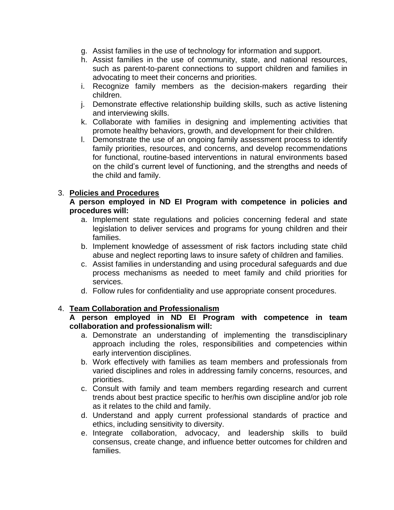- g. Assist families in the use of technology for information and support.
- h. Assist families in the use of community, state, and national resources, such as parent-to-parent connections to support children and families in advocating to meet their concerns and priorities.
- i. Recognize family members as the decision-makers regarding their children.
- j. Demonstrate effective relationship building skills, such as active listening and interviewing skills.
- k. Collaborate with families in designing and implementing activities that promote healthy behaviors, growth, and development for their children.
- l. Demonstrate the use of an ongoing family assessment process to identify family priorities, resources, and concerns, and develop recommendations for functional, routine-based interventions in natural environments based on the child's current level of functioning, and the strengths and needs of the child and family.

#### 3. **Policies and Procedures**

#### **A person employed in ND EI Program with competence in policies and procedures will:**

- a. Implement state regulations and policies concerning federal and state legislation to deliver services and programs for young children and their families.
- b. Implement knowledge of assessment of risk factors including state child abuse and neglect reporting laws to insure safety of children and families.
- c. Assist families in understanding and using procedural safeguards and due process mechanisms as needed to meet family and child priorities for services.
- d. Follow rules for confidentiality and use appropriate consent procedures.

#### 4. **Team Collaboration and Professionalism**

#### **A person employed in ND EI Program with competence in team collaboration and professionalism will:**

- a. Demonstrate an understanding of implementing the transdisciplinary approach including the roles, responsibilities and competencies within early intervention disciplines.
- b. Work effectively with families as team members and professionals from varied disciplines and roles in addressing family concerns, resources, and priorities.
- c. Consult with family and team members regarding research and current trends about best practice specific to her/his own discipline and/or job role as it relates to the child and family.
- d. Understand and apply current professional standards of practice and ethics, including sensitivity to diversity.
- e. Integrate collaboration, advocacy, and leadership skills to build consensus, create change, and influence better outcomes for children and families.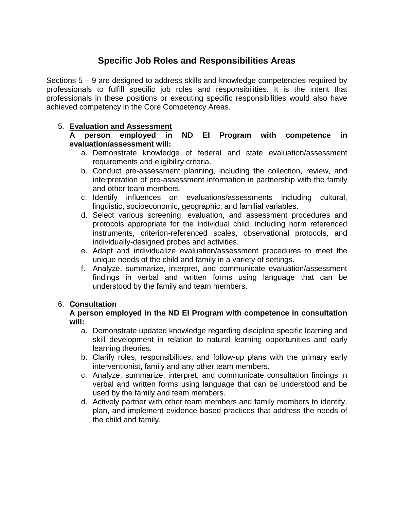## **Specific Job Roles and Responsibilities Areas**

Sections 5 – 9 are designed to address skills and knowledge competencies required by professionals to fulfill specific job roles and responsibilities. It is the intent that professionals in these positions or executing specific responsibilities would also have achieved competency in the Core Competency Areas.

#### 5. **Evaluation and Assessment**

**A person employed in ND EI Program with competence in evaluation/assessment will:** 

- a. Demonstrate knowledge of federal and state evaluation/assessment requirements and eligibility criteria.
- b. Conduct pre-assessment planning, including the collection, review, and interpretation of pre-assessment information in partnership with the family and other team members.
- c. Identify influences on evaluations/assessments including cultural, linguistic, socioeconomic, geographic, and familial variables.
- d. Select various screening, evaluation, and assessment procedures and protocols appropriate for the individual child, including norm referenced instruments, criterion-referenced scales, observational protocols, and individually-designed probes and activities.
- e. Adapt and individualize evaluation/assessment procedures to meet the unique needs of the child and family in a variety of settings.
- f. Analyze, summarize, interpret, and communicate evaluation/assessment findings in verbal and written forms using language that can be understood by the family and team members.

#### 6. **Consultation**

#### **A person employed in the ND EI Program with competence in consultation will:**

- a. Demonstrate updated knowledge regarding discipline specific learning and skill development in relation to natural learning opportunities and early learning theories.
- b. Clarify roles, responsibilities, and follow-up plans with the primary early interventionist, family and any other team members.
- c. Analyze, summarize, interpret, and communicate consultation findings in verbal and written forms using language that can be understood and be used by the family and team members.
- d. Actively partner with other team members and family members to identify, plan, and implement evidence-based practices that address the needs of the child and family.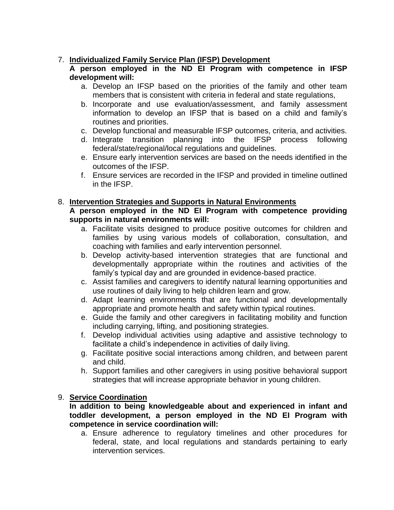#### 7. **Individualized Family Service Plan (IFSP) Development**

#### **A person employed in the ND EI Program with competence in IFSP development will:**

- a. Develop an IFSP based on the priorities of the family and other team members that is consistent with criteria in federal and state regulations,
- b. Incorporate and use evaluation/assessment, and family assessment information to develop an IFSP that is based on a child and family's routines and priorities.
- c. Develop functional and measurable IFSP outcomes, criteria, and activities.
- d. Integrate transition planning into the IFSP process following federal/state/regional/local regulations and guidelines.
- e. Ensure early intervention services are based on the needs identified in the outcomes of the IFSP.
- f. Ensure services are recorded in the IFSP and provided in timeline outlined in the IFSP.

#### 8. **Intervention Strategies and Supports in Natural Environments**

#### **A person employed in the ND EI Program with competence providing supports in natural environments will:**

- a. Facilitate visits designed to produce positive outcomes for children and families by using various models of collaboration, consultation, and coaching with families and early intervention personnel.
- b. Develop activity-based intervention strategies that are functional and developmentally appropriate within the routines and activities of the family's typical day and are grounded in evidence-based practice.
- c. Assist families and caregivers to identify natural learning opportunities and use routines of daily living to help children learn and grow.
- d. Adapt learning environments that are functional and developmentally appropriate and promote health and safety within typical routines.
- e. Guide the family and other caregivers in facilitating mobility and function including carrying, lifting, and positioning strategies.
- f. Develop individual activities using adaptive and assistive technology to facilitate a child's independence in activities of daily living.
- g. Facilitate positive social interactions among children, and between parent and child.
- h. Support families and other caregivers in using positive behavioral support strategies that will increase appropriate behavior in young children.

#### 9. **Service Coordination**

#### **In addition to being knowledgeable about and experienced in infant and toddler development, a person employed in the ND EI Program with competence in service coordination will:**

a. Ensure adherence to regulatory timelines and other procedures for federal, state, and local regulations and standards pertaining to early intervention services.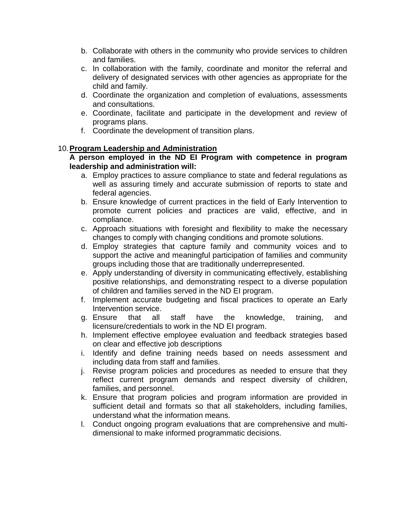- b. Collaborate with others in the community who provide services to children and families.
- c. In collaboration with the family, coordinate and monitor the referral and delivery of designated services with other agencies as appropriate for the child and family.
- d. Coordinate the organization and completion of evaluations, assessments and consultations.
- e. Coordinate, facilitate and participate in the development and review of programs plans.
- f. Coordinate the development of transition plans.

#### 10.**Program Leadership and Administration**

#### **A person employed in the ND EI Program with competence in program leadership and administration will:**

- a. Employ practices to assure compliance to state and federal regulations as well as assuring timely and accurate submission of reports to state and federal agencies.
- b. Ensure knowledge of current practices in the field of Early Intervention to promote current policies and practices are valid, effective, and in compliance.
- c. Approach situations with foresight and flexibility to make the necessary changes to comply with changing conditions and promote solutions.
- d. Employ strategies that capture family and community voices and to support the active and meaningful participation of families and community groups including those that are traditionally underrepresented.
- e. Apply understanding of diversity in communicating effectively, establishing positive relationships, and demonstrating respect to a diverse population of children and families served in the ND EI program.
- f. Implement accurate budgeting and fiscal practices to operate an Early Intervention service.
- g. Ensure that all staff have the knowledge, training, and licensure/credentials to work in the ND EI program.
- h. Implement effective employee evaluation and feedback strategies based on clear and effective job descriptions
- i. Identify and define training needs based on needs assessment and including data from staff and families.
- j. Revise program policies and procedures as needed to ensure that they reflect current program demands and respect diversity of children, families, and personnel.
- k. Ensure that program policies and program information are provided in sufficient detail and formats so that all stakeholders, including families, understand what the information means.
- l. Conduct ongoing program evaluations that are comprehensive and multidimensional to make informed programmatic decisions.